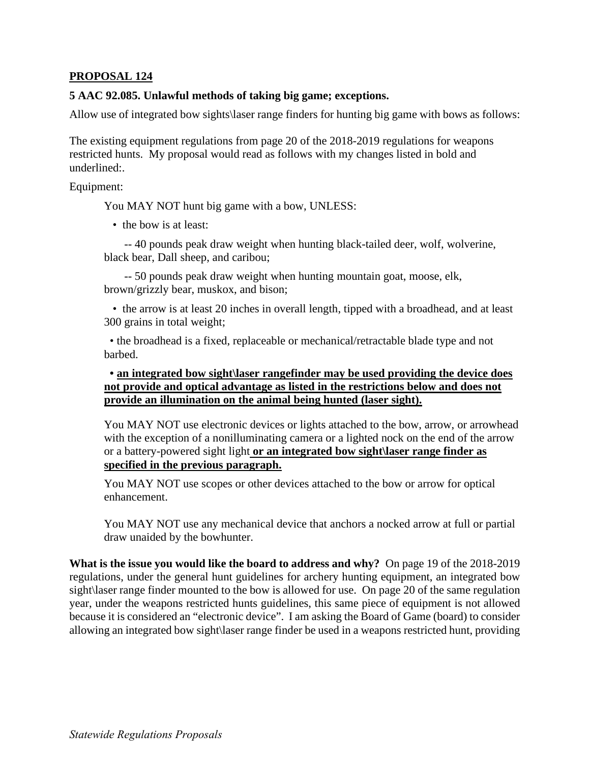## **PROPOSAL 124**

## **5 AAC 92.085. Unlawful methods of taking big game; exceptions.**

Allow use of integrated bow sights\laser range finders for hunting big game with bows as follows:

The existing equipment regulations from page 20 of the 2018-2019 regulations for weapons restricted hunts. My proposal would read as follows with my changes listed in bold and underlined:.

Equipment:

You MAY NOT hunt big game with a bow, UNLESS:

• the bow is at least:

-- 40 pounds peak draw weight when hunting black-tailed deer, wolf, wolverine, black bear, Dall sheep, and caribou;

-- 50 pounds peak draw weight when hunting mountain goat, moose, elk, brown/grizzly bear, muskox, and bison;

• the arrow is at least 20 inches in overall length, tipped with a broadhead, and at least 300 grains in total weight;

• the broadhead is a fixed, replaceable or mechanical/retractable blade type and not barbed.

**• an integrated bow sight\laser rangefinder may be used providing the device does not provide and optical advantage as listed in the restrictions below and does not provide an illumination on the animal being hunted (laser sight).** 

You MAY NOT use electronic devices or lights attached to the bow, arrow, or arrowhead with the exception of a nonilluminating camera or a lighted nock on the end of the arrow or a battery-powered sight light **or an integrated bow sight\laser range finder as specified in the previous paragraph.** 

You MAY NOT use scopes or other devices attached to the bow or arrow for optical enhancement.

You MAY NOT use any mechanical device that anchors a nocked arrow at full or partial draw unaided by the bowhunter.

**What is the issue you would like the board to address and why?** On page 19 of the 2018-2019 regulations, under the general hunt guidelines for archery hunting equipment, an integrated bow sight\laser range finder mounted to the bow is allowed for use. On page 20 of the same regulation year, under the weapons restricted hunts guidelines, this same piece of equipment is not allowed because it is considered an "electronic device". I am asking the Board of Game (board) to consider allowing an integrated bow sight\laser range finder be used in a weapons restricted hunt, providing